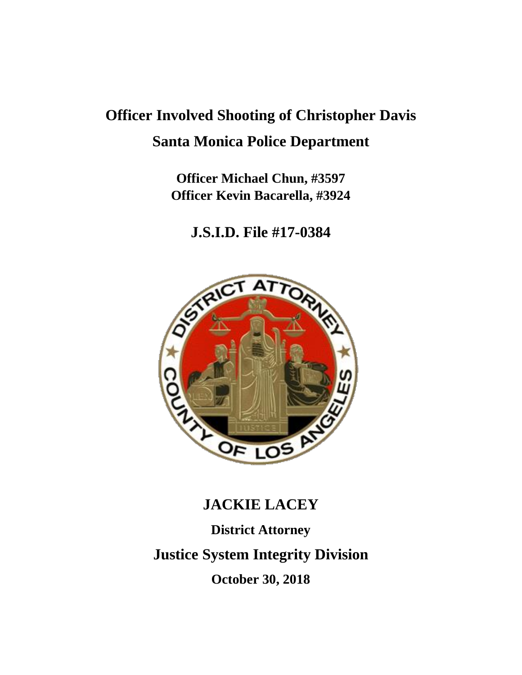# **Officer Involved Shooting of Christopher Davis Santa Monica Police Department**

**Officer Michael Chun, #3597 Officer Kevin Bacarella, #3924**

**J.S.I.D. File #17-0384**



## **JACKIE LACEY**

**District Attorney Justice System Integrity Division October 30, 2018**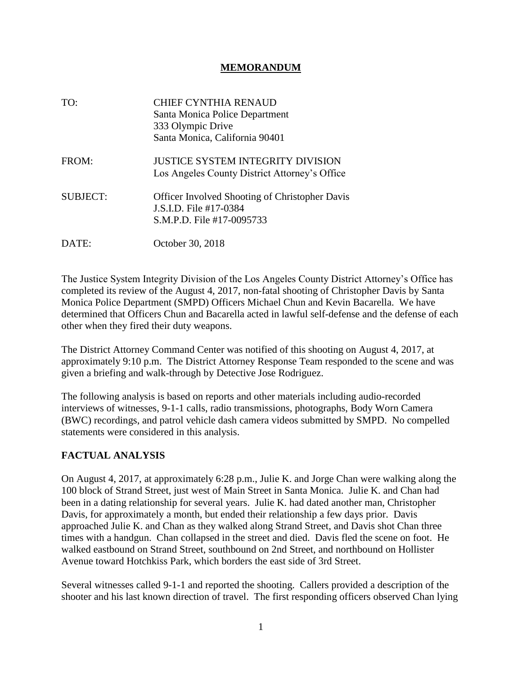#### **MEMORANDUM**

| TO:             | <b>CHIEF CYNTHIA RENAUD</b><br>Santa Monica Police Department<br>333 Olympic Drive<br>Santa Monica, California 90401 |
|-----------------|----------------------------------------------------------------------------------------------------------------------|
| FROM:           | <b>JUSTICE SYSTEM INTEGRITY DIVISION</b><br>Los Angeles County District Attorney's Office                            |
| <b>SUBJECT:</b> | <b>Officer Involved Shooting of Christopher Davis</b><br>J.S.I.D. File #17-0384<br>S.M.P.D. File #17-0095733         |
| DATE:           | October 30, 2018                                                                                                     |

The Justice System Integrity Division of the Los Angeles County District Attorney's Office has completed its review of the August 4, 2017, non-fatal shooting of Christopher Davis by Santa Monica Police Department (SMPD) Officers Michael Chun and Kevin Bacarella. We have determined that Officers Chun and Bacarella acted in lawful self-defense and the defense of each other when they fired their duty weapons.

The District Attorney Command Center was notified of this shooting on August 4, 2017, at approximately 9:10 p.m. The District Attorney Response Team responded to the scene and was given a briefing and walk-through by Detective Jose Rodriguez.

The following analysis is based on reports and other materials including audio-recorded interviews of witnesses, 9-1-1 calls, radio transmissions, photographs, Body Worn Camera (BWC) recordings, and patrol vehicle dash camera videos submitted by SMPD. No compelled statements were considered in this analysis.

#### **FACTUAL ANALYSIS**

On August 4, 2017, at approximately 6:28 p.m., Julie K. and Jorge Chan were walking along the 100 block of Strand Street, just west of Main Street in Santa Monica. Julie K. and Chan had been in a dating relationship for several years. Julie K. had dated another man, Christopher Davis, for approximately a month, but ended their relationship a few days prior. Davis approached Julie K. and Chan as they walked along Strand Street, and Davis shot Chan three times with a handgun. Chan collapsed in the street and died. Davis fled the scene on foot. He walked eastbound on Strand Street, southbound on 2nd Street, and northbound on Hollister Avenue toward Hotchkiss Park, which borders the east side of 3rd Street.

Several witnesses called 9-1-1 and reported the shooting. Callers provided a description of the shooter and his last known direction of travel. The first responding officers observed Chan lying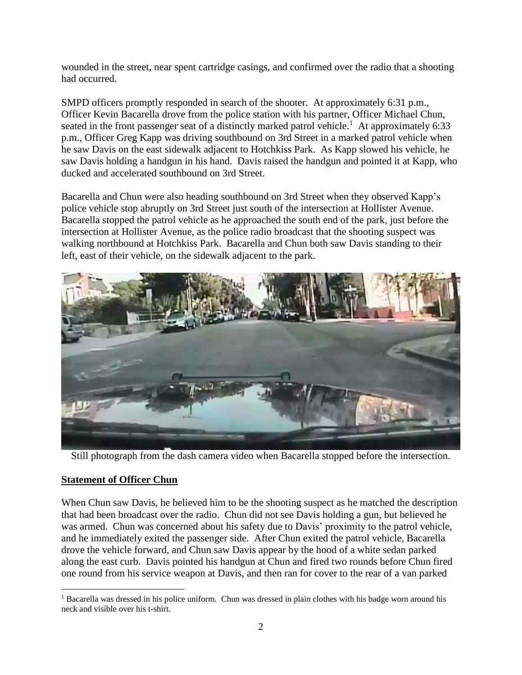wounded in the street, near spent cartridge casings, and confirmed over the radio that a shooting had occurred.

SMPD officers promptly responded in search of the shooter. At approximately 6:31 p.m., Officer Kevin Bacarella drove from the police station with his partner, Officer Michael Chun, seated in the front passenger seat of a distinctly marked patrol vehicle.<sup>1</sup> At approximately 6:33 p.m., Officer Greg Kapp was driving southbound on 3rd Street in a marked patrol vehicle when he saw Davis on the east sidewalk adjacent to Hotchkiss Park. As Kapp slowed his vehicle, he saw Davis holding a handgun in his hand. Davis raised the handgun and pointed it at Kapp, who ducked and accelerated southbound on 3rd Street.

Bacarella and Chun were also heading southbound on 3rd Street when they observed Kapp's police vehicle stop abruptly on 3rd Street just south of the intersection at Hollister Avenue. Bacarella stopped the patrol vehicle as he approached the south end of the park, just before the intersection at Hollister Avenue, as the police radio broadcast that the shooting suspect was walking northbound at Hotchkiss Park. Bacarella and Chun both saw Davis standing to their left, east of their vehicle, on the sidewalk adjacent to the park.



Still photograph from the dash camera video when Bacarella stopped before the intersection.

#### **Statement of Officer Chun**

When Chun saw Davis, he believed him to be the shooting suspect as he matched the description that had been broadcast over the radio. Chun did not see Davis holding a gun, but believed he was armed. Chun was concerned about his safety due to Davis' proximity to the patrol vehicle, and he immediately exited the passenger side. After Chun exited the patrol vehicle, Bacarella drove the vehicle forward, and Chun saw Davis appear by the hood of a white sedan parked along the east curb. Davis pointed his handgun at Chun and fired two rounds before Chun fired one round from his service weapon at Davis, and then ran for cover to the rear of a van parked

<sup>&</sup>lt;sup>1</sup> Bacarella was dressed in his police uniform. Chun was dressed in plain clothes with his badge worn around his neck and visible over his t-shirt.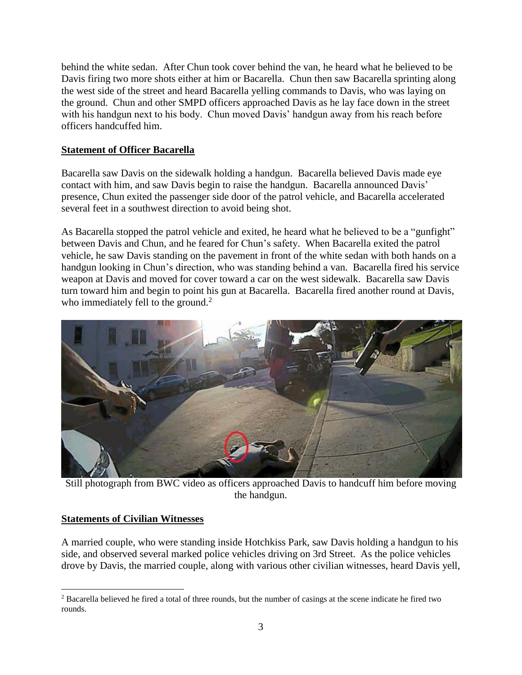behind the white sedan. After Chun took cover behind the van, he heard what he believed to be Davis firing two more shots either at him or Bacarella. Chun then saw Bacarella sprinting along the west side of the street and heard Bacarella yelling commands to Davis, who was laying on the ground. Chun and other SMPD officers approached Davis as he lay face down in the street with his handgun next to his body. Chun moved Davis' handgun away from his reach before officers handcuffed him.

#### **Statement of Officer Bacarella**

Bacarella saw Davis on the sidewalk holding a handgun. Bacarella believed Davis made eye contact with him, and saw Davis begin to raise the handgun. Bacarella announced Davis' presence, Chun exited the passenger side door of the patrol vehicle, and Bacarella accelerated several feet in a southwest direction to avoid being shot.

As Bacarella stopped the patrol vehicle and exited, he heard what he believed to be a "gunfight" between Davis and Chun, and he feared for Chun's safety. When Bacarella exited the patrol vehicle, he saw Davis standing on the pavement in front of the white sedan with both hands on a handgun looking in Chun's direction, who was standing behind a van. Bacarella fired his service weapon at Davis and moved for cover toward a car on the west sidewalk. Bacarella saw Davis turn toward him and begin to point his gun at Bacarella. Bacarella fired another round at Davis, who immediately fell to the ground. $2$ 



Still photograph from BWC video as officers approached Davis to handcuff him before moving the handgun.

#### **Statements of Civilian Witnesses**

A married couple, who were standing inside Hotchkiss Park, saw Davis holding a handgun to his side, and observed several marked police vehicles driving on 3rd Street. As the police vehicles drove by Davis, the married couple, along with various other civilian witnesses, heard Davis yell,

<sup>&</sup>lt;sup>2</sup> Bacarella believed he fired a total of three rounds, but the number of casings at the scene indicate he fired two rounds.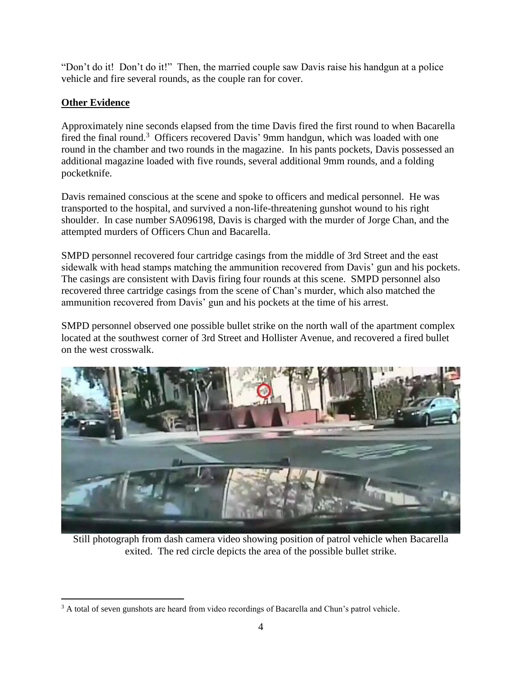"Don't do it! Don't do it!" Then, the married couple saw Davis raise his handgun at a police vehicle and fire several rounds, as the couple ran for cover.

### **Other Evidence**

Approximately nine seconds elapsed from the time Davis fired the first round to when Bacarella fired the final round.<sup>3</sup> Officers recovered Davis' 9mm handgun, which was loaded with one round in the chamber and two rounds in the magazine. In his pants pockets, Davis possessed an additional magazine loaded with five rounds, several additional 9mm rounds, and a folding pocketknife.

Davis remained conscious at the scene and spoke to officers and medical personnel. He was transported to the hospital, and survived a non-life-threatening gunshot wound to his right shoulder. In case number SA096198, Davis is charged with the murder of Jorge Chan, and the attempted murders of Officers Chun and Bacarella.

SMPD personnel recovered four cartridge casings from the middle of 3rd Street and the east sidewalk with head stamps matching the ammunition recovered from Davis' gun and his pockets. The casings are consistent with Davis firing four rounds at this scene. SMPD personnel also recovered three cartridge casings from the scene of Chan's murder, which also matched the ammunition recovered from Davis' gun and his pockets at the time of his arrest.

SMPD personnel observed one possible bullet strike on the north wall of the apartment complex located at the southwest corner of 3rd Street and Hollister Avenue, and recovered a fired bullet on the west crosswalk.



Still photograph from dash camera video showing position of patrol vehicle when Bacarella exited. The red circle depicts the area of the possible bullet strike.

<sup>&</sup>lt;sup>3</sup> A total of seven gunshots are heard from video recordings of Bacarella and Chun's patrol vehicle.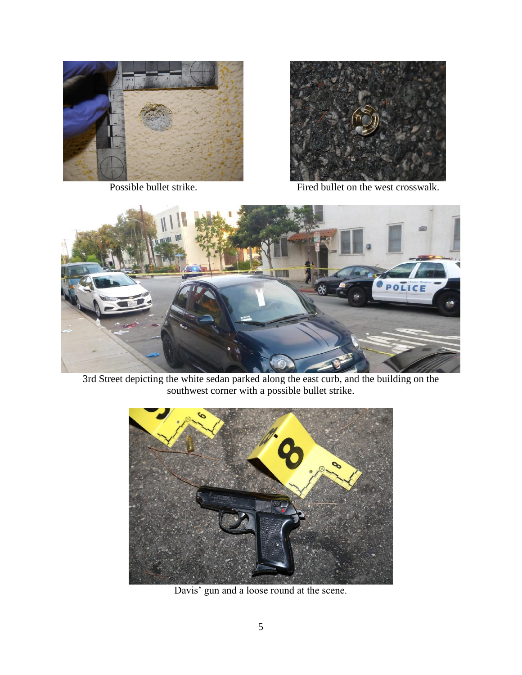



Possible bullet strike. Fired bullet on the west crosswalk.



3rd Street depicting the white sedan parked along the east curb, and the building on the southwest corner with a possible bullet strike.



Davis' gun and a loose round at the scene.